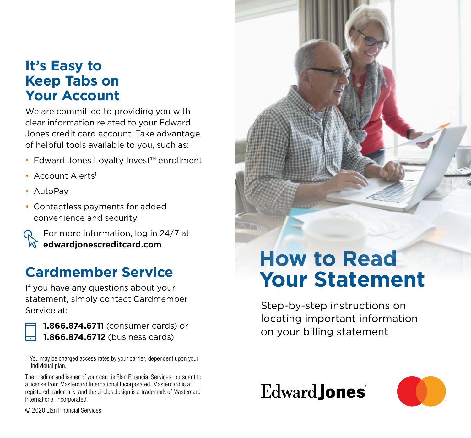### **It's Easy to Keep Tabs on Your Account**

We are committed to providing you with clear information related to your Edward Jones credit card account. Take advantage of helpful tools available to you, such as:

- Edward Jones Loyalty Invest™ enrollment
- Account Alerts<sup>1</sup>
- AutoPay
- Contactless payments for added convenience and security

For more information, log in 24/7 at  $\sqrt{\lambda}$  edwardionescreditcard.com

## **Cardmember Service**

If you have any questions about your statement, simply contact Cardmember Service at:

**1.866.874.6711** (consumer cards) or **1.866.874.6712** (business cards)

1 You may be charged access rates by your carrier, dependent upon your individual plan.

The creditor and issuer of your card is Elan Financial Services, pursuant to a license from Mastercard International Incorporated. Mastercard is a registered trademark, and the circles design is a trademark of Mastercard International Incorporated.

# **How to Read Your Statement**

Step-by-step instructions on locating important information on your billing statement





© 2020 Elan Financial Services.